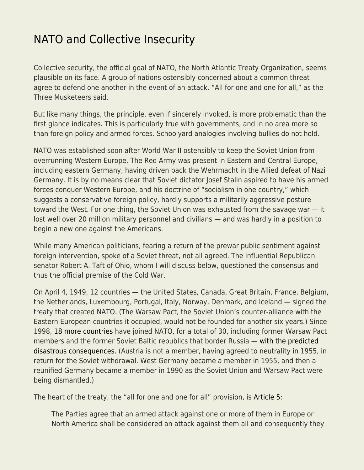## [NATO and Collective Insecurity](https://everything-voluntary.com/nato-and-collective-insecurity)

Collective security, the official goal of NATO, the North Atlantic Treaty Organization, seems plausible on its face. A group of nations ostensibly concerned about a common threat agree to defend one another in the event of an attack. "All for one and one for all," as the Three Musketeers said.

But like many things, the principle, even if sincerely invoked, is more problematic than the first glance indicates. This is particularly true with governments, and in no area more so than foreign policy and armed forces. Schoolyard analogies involving bullies do not hold.

NATO was established soon after World War II ostensibly to keep the Soviet Union from overrunning Western Europe. The Red Army was present in Eastern and Central Europe, including eastern Germany, having driven back the Wehrmacht in the Allied defeat of Nazi Germany. It is by no means clear that Soviet dictator Josef Stalin aspired to have his armed forces conquer Western Europe, and his doctrine of "socialism in one country," which suggests a conservative foreign policy, hardly supports a militarily aggressive posture toward the West. For one thing, the Soviet Union was exhausted from the savage war — it lost well over 20 million military personnel and civilians — and was hardly in a position to begin a new one against the Americans.

While many American politicians, fearing a return of the prewar public sentiment against foreign intervention, spoke of a Soviet threat, not all agreed. The influential Republican senator Robert A. Taft of Ohio, whom I will discuss below, questioned the consensus and thus the official premise of the Cold War.

On April 4, 1949, 12 countries — the United States, Canada, Great Britain, France, Belgium, the Netherlands, Luxembourg, Portugal, Italy, Norway, Denmark, and Iceland — signed the treaty that created NATO. (The Warsaw Pact, the Soviet Union's counter-alliance with the Eastern European countries it occupied, would not be founded for another six years.) Since 1998, [18 more countries](https://en.wikipedia.org/wiki/Member_states_of_NATO) have joined NATO, for a total of 30, including former Warsaw Pact members and the former Soviet Baltic republics that border Russia — [with the predicted](https://libertarianinstitute.org/articles/tgif-shades-of-gray-in-the-russia-ukraine-war/) [disastrous consequences.](https://libertarianinstitute.org/articles/tgif-shades-of-gray-in-the-russia-ukraine-war/) (Austria is not a member, having agreed to neutrality in 1955, in return for the Soviet withdrawal. West Germany became a member in 1955, and then a reunified Germany became a member in 1990 as the Soviet Union and Warsaw Pact were being dismantled.)

The heart of the treaty, the "all for one and one for all" provision, is [Article 5:](https://www.nato.int/cps/en/natohq/topics_110496.htm)

The Parties agree that an armed attack against one or more of them in Europe or North America shall be considered an attack against them all and consequently they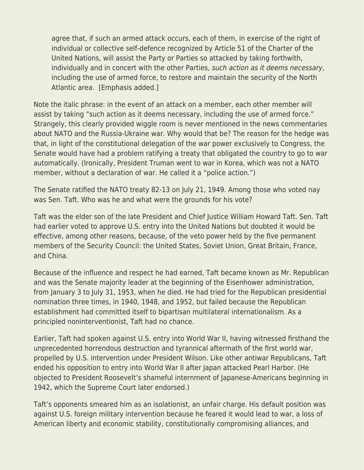agree that, if such an armed attack occurs, each of them, in exercise of the right of individual or collective self-defence recognized by Article 51 of the Charter of the United Nations, will assist the Party or Parties so attacked by taking forthwith, individually and in concert with the other Parties, such action as it deems necessary, including the use of armed force, to restore and maintain the security of the North Atlantic area. [Emphasis added.]

Note the italic phrase: in the event of an attack on a member, each other member will assist by taking "such action as it deems necessary, including the use of armed force." Strangely, this clearly provided wiggle room is never mentioned in the news commentaries about NATO and the Russia-Ukraine war. Why would that be? The reason for the hedge was that, in light of the constitutional delegation of the war power exclusively to Congress, the Senate would have had a problem ratifying a treaty that obligated the country to go to war automatically. (Ironically, President Truman went to war in Korea, which was not a NATO member, without a declaration of war. He called it a "police action.")

The Senate ratified the NATO treaty 82-13 on July 21, 1949. Among those who voted nay was Sen. Taft. Who was he and what were the grounds for his vote?

Taft was the elder son of the late President and Chief Justice William Howard Taft. Sen. Taft had earlier voted to approve U.S. entry into the United Nations but doubted it would be effective, among other reasons, because, of the veto power held by the five permanent members of the Security Council: the United States, Soviet Union, Great Britain, France, and China.

Because of the influence and respect he had earned, Taft became known as Mr. Republican and was the Senate majority leader at the beginning of the Eisenhower administration, from January 3 to July 31, 1953, when he died. He had tried for the Republican presidential nomination three times, in 1940, 1948, and 1952, but failed because the Republican establishment had committed itself to bipartisan multilateral internationalism. As a principled noninterventionist, Taft had no chance.

Earlier, Taft had spoken against U.S. entry into World War II, having witnessed firsthand the unprecedented horrendous destruction and tyrannical aftermath of the first world war, propelled by U.S. intervention under President Wilson. Like other antiwar Republicans, Taft ended his opposition to entry into World War II after Japan attacked Pearl Harbor. (He objected to President Roosevelt's shameful internment of Japanese-Americans beginning in 1942, which the Supreme Court later endorsed.)

Taft's opponents smeared him as an isolationist, an unfair charge. His default position was against U.S. foreign military intervention because he feared it would lead to war, a loss of American liberty and economic stability, constitutionally compromising alliances, and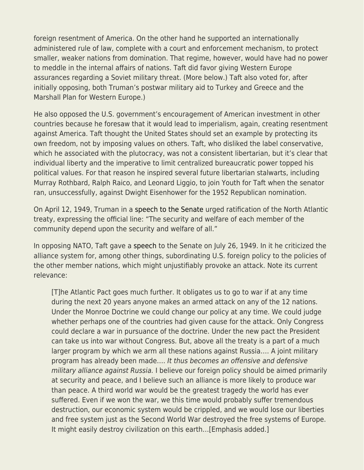foreign resentment of America. On the other hand he supported an internationally administered rule of law, complete with a court and enforcement mechanism, to protect smaller, weaker nations from domination. That regime, however, would have had no power to meddle in the internal affairs of nations. Taft did favor giving Western Europe assurances regarding a Soviet military threat. (More below.) Taft also voted for, after initially opposing, both Truman's postwar military aid to Turkey and Greece and the Marshall Plan for Western Europe.)

He also opposed the U.S. government's encouragement of American investment in other countries because he foresaw that it would lead to imperialism, again, creating resentment against America. Taft thought the United States should set an example by protecting its own freedom, not by imposing values on others. Taft, who disliked the label conservative, which he associated with the plutocracy, was not a consistent libertarian, but it's clear that individual liberty and the imperative to limit centralized bureaucratic power topped his political values. For that reason he inspired several future libertarian stalwarts, including Murray Rothbard, Ralph Raico, and Leonard Liggio, to join Youth for Taft when the senator ran, unsuccessfully, against Dwight Eisenhower for the 1952 Republican nomination.

On April 12, 1949, Truman in a [speech to the Senate](https://teachingamericanhistory.org/document/speech-asking-the-senate-to-ratify-the-north-atlantic-treaty/) urged ratification of the North Atlantic treaty, expressing the official line: "The security and welfare of each member of the community depend upon the security and welfare of all."

In opposing NATO, Taft gave a [speech](https://teachingamericanhistory.org/document/speech-on-the-north-atlantic-treaty/) to the Senate on July 26, 1949. In it he criticized the alliance system for, among other things, subordinating U.S. foreign policy to the policies of the other member nations, which might unjustifiably provoke an attack. Note its current relevance:

[T]he Atlantic Pact goes much further. It obligates us to go to war if at any time during the next 20 years anyone makes an armed attack on any of the 12 nations. Under the Monroe Doctrine we could change our policy at any time. We could judge whether perhaps one of the countries had given cause for the attack. Only Congress could declare a war in pursuance of the doctrine. Under the new pact the President can take us into war without Congress. But, above all the treaty is a part of a much larger program by which we arm all these nations against Russia…. A joint military program has already been made…. It thus becomes an offensive and defensive military alliance against Russia. I believe our foreign policy should be aimed primarily at security and peace, and I believe such an alliance is more likely to produce war than peace. A third world war would be the greatest tragedy the world has ever suffered. Even if we won the war, we this time would probably suffer tremendous destruction, our economic system would be crippled, and we would lose our liberties and free system just as the Second World War destroyed the free systems of Europe. It might easily destroy civilization on this earth…[Emphasis added.]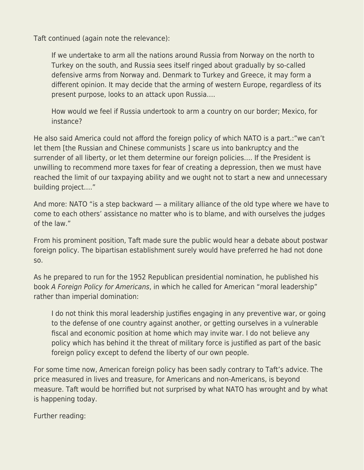Taft continued (again note the relevance):

If we undertake to arm all the nations around Russia from Norway on the north to Turkey on the south, and Russia sees itself ringed about gradually by so-called defensive arms from Norway and. Denmark to Turkey and Greece, it may form a different opinion. It may decide that the arming of western Europe, regardless of its present purpose, looks to an attack upon Russia….

How would we feel if Russia undertook to arm a country on our border; Mexico, for instance?

He also said America could not afford the foreign policy of which NATO is a part.:"we can't let them [the Russian and Chinese communists ] scare us into bankruptcy and the surrender of all liberty, or let them determine our foreign policies…. If the President is unwilling to recommend more taxes for fear of creating a depression, then we must have reached the limit of our taxpaying ability and we ought not to start a new and unnecessary building project…."

And more: NATO "is a step backward — a military alliance of the old type where we have to come to each others' assistance no matter who is to blame, and with ourselves the judges of the law."

From his prominent position, Taft made sure the public would hear a debate about postwar foreign policy. The bipartisan establishment surely would have preferred he had not done so.

As he prepared to run for the 1952 Republican presidential nomination, he published his book A Foreign Policy for Americans, in which he called for American "moral leadership" rather than imperial domination:

I do not think this moral leadership justifies engaging in any preventive war, or going to the defense of one country against another, or getting ourselves in a vulnerable fiscal and economic position at home which may invite war. I do not believe any policy which has behind it the threat of military force is justified as part of the basic foreign policy except to defend the liberty of our own people.

For some time now, American foreign policy has been sadly contrary to Taft's advice. The price measured in lives and treasure, for Americans and non-Americans, is beyond measure. Taft would be horrified but not surprised by what NATO has wrought and by what is happening today.

Further reading: